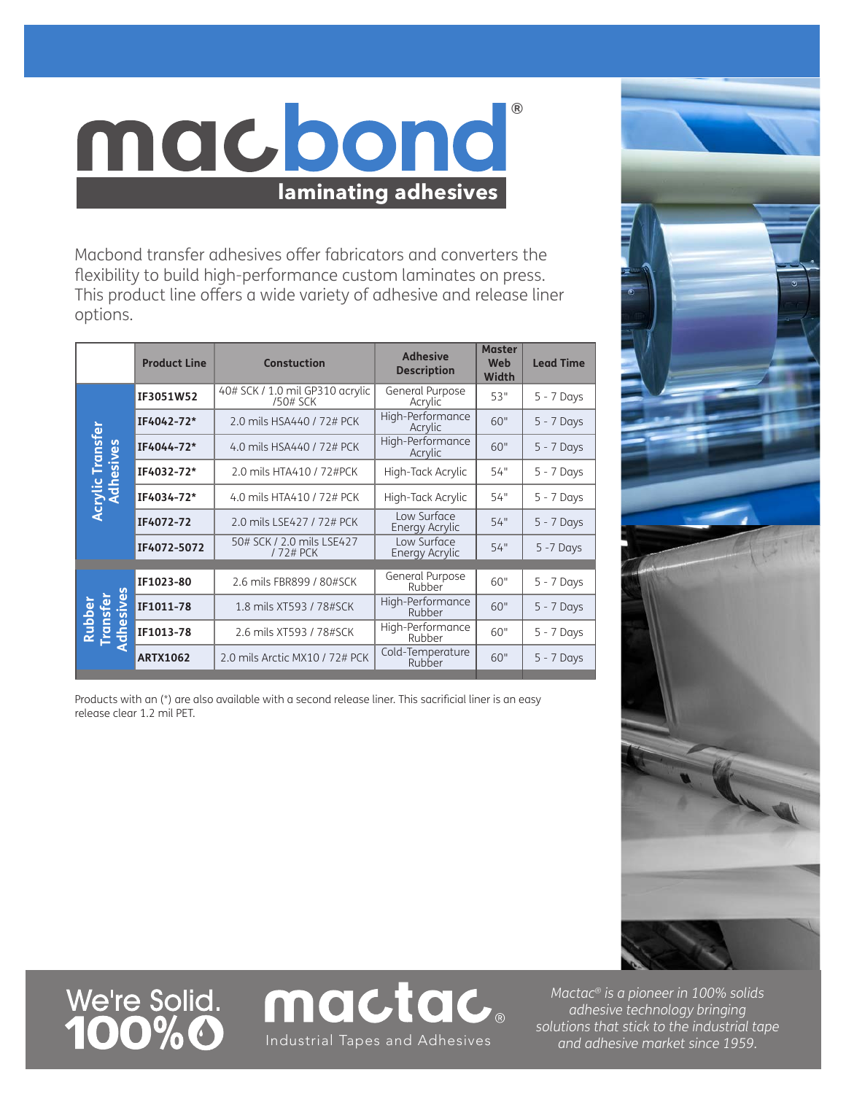## macbond **laminating adhesives**

Macbond transfer adhesives offer fabricators and converters the flexibility to build high-performance custom laminates on press. This product line offers a wide variety of adhesive and release liner options.

®

|                                                     | <b>Product Line</b> | <b>Constuction</b>                          | <b>Adhesive</b><br><b>Description</b> | <b>Master</b><br>Web<br>Width | <b>Lead Time</b> |
|-----------------------------------------------------|---------------------|---------------------------------------------|---------------------------------------|-------------------------------|------------------|
| Transfer<br>Acrylic Transf<br>Adhesives             | IF3051W52           | 40# SCK / 1.0 mil GP310 acrylic<br>/50# SCK | General Purpose<br>Acrylic            | 53"                           | 5 - 7 Days       |
|                                                     | IF4042-72*          | 2.0 mils HSA440 / 72# PCK                   | High-Performance<br>Acrylic           | 60"                           | $5 - 7$ Days     |
|                                                     | IF4044-72*          | 4.0 mils HSA440 / 72# PCK                   | High-Performance<br>Acrylic           | 60"                           | $5 - 7$ Days     |
|                                                     | IF4032-72*          | 2.0 mils HTA410 / 72#PCK                    | High-Tack Acrylic                     | 54"                           | 5 - 7 Days       |
|                                                     | IF4034-72*          | 4.0 mils HTA410 / 72# PCK                   | High-Tack Acrylic                     | 54"                           | $5 - 7$ Days     |
|                                                     | IF4072-72           | 2.0 mils LSE427 / 72# PCK                   | Low Surface<br>Energy Acrylic         | 54"                           | $5 - 7$ Days     |
|                                                     | IF4072-5072         | 50# SCK / 2.0 mils LSE427<br>/ 72# PCK      | Low Surface<br>Energy Acrylic         | 54"                           | $5 - 7$ Days     |
| <b>September</b><br>Rubber<br>Transfer<br>Adhesives | IF1023-80           | 2.6 mils FBR899 / 80#SCK                    | General Purpose<br>Rubber             | 60"                           | $5 - 7$ Days     |
|                                                     | IF1011-78           | 1.8 mils XT593 / 78#SCK                     | High-Performance<br>Rubber            | 60"                           | $5 - 7$ Days     |
|                                                     | IF1013-78           | 2.6 mils XT593 / 78#SCK                     | High-Performance<br>Rubber            | 60"                           | 5 - 7 Days       |
|                                                     | <b>ARTX1062</b>     | 2.0 mils Arctic MX10 / 72# PCK              | Cold-Temperature<br>Rubber            | 60"                           | $5 - 7$ Days     |

Products with an (\*) are also available with a second release liner. This sacrificial liner is an easy release clear 1.2 mil PET.



We're Solid.<br>**100%0** 



*Mactac® is a pioneer in 100% solids adhesive technology bringing solutions that stick to the industrial tape*